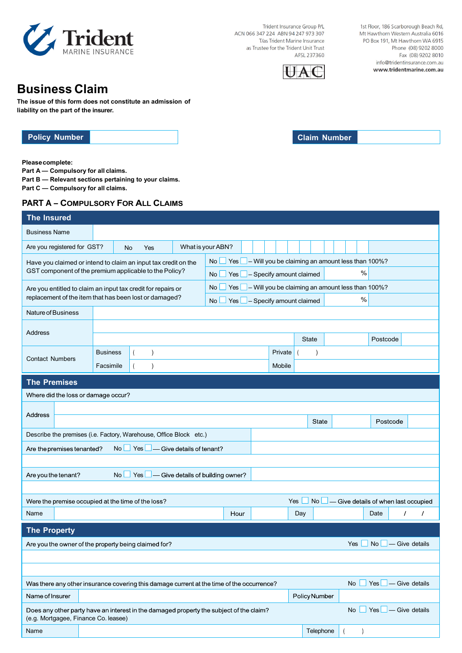

Trident Insurance Group P/L ACN 066 347 224 ABN 94 247 973 307 T/as Trident Marine Insurance as Trustee for the Trident Unit Trust AFSL 237360



1st Floor, 186 Scarborough Beach Rd, Mt Hawthorn Western Australia 6016 PO Box 191, Mt Hawthorn WA 6915 Phone (08) 9202 8000 Fax (08) 9202 8010 info@tridentinsurance.com.au www.tridentmarine.com.au

# **Business Claim**

**The issue of this form does not constitute an admission of liability on the part of the insurer.**

**Policy Number Claim Number** 

**Please complete:**

**Part A — Compulsory for all claims.**

**Part B — Relevant sections pertaining to your claims.** 

**Part C — Compulsory for all claims.** 

## **PART A – COMPULSORY FOR ALL CLAIMS**

| <b>The Insured</b>                                                                                                                    |                                                                                                                              |  |  |                                                        |         |                                                                 |                                      |                           |                      |  |
|---------------------------------------------------------------------------------------------------------------------------------------|------------------------------------------------------------------------------------------------------------------------------|--|--|--------------------------------------------------------|---------|-----------------------------------------------------------------|--------------------------------------|---------------------------|----------------------|--|
| <b>Business Name</b>                                                                                                                  |                                                                                                                              |  |  |                                                        |         |                                                                 |                                      |                           |                      |  |
| Are you registered for GST?                                                                                                           | What is your ABN?<br><b>No</b><br>Yes                                                                                        |  |  |                                                        |         |                                                                 |                                      |                           |                      |  |
| No<br>Yes  <br>Have you claimed or intend to claim an input tax credit on the                                                         |                                                                                                                              |  |  |                                                        |         | $\blacksquare$ – Will you be claiming an amount less than 100%? |                                      |                           |                      |  |
| GST component of the premium applicable to the Policy?<br>$\%$<br>$Yes \t - Specify a mount claimed$<br>No                            |                                                                                                                              |  |  |                                                        |         |                                                                 |                                      |                           |                      |  |
| $\vert$ – Will you be claiming an amount less than 100%?<br>No<br>Yes<br>Are you entitled to claim an input tax credit for repairs or |                                                                                                                              |  |  |                                                        |         |                                                                 |                                      |                           |                      |  |
| replacement of the item that has been lost or damaged?<br>$\%$<br>- Specify amount claimed<br>No<br>Yes                               |                                                                                                                              |  |  |                                                        |         |                                                                 |                                      |                           |                      |  |
| Nature of Business                                                                                                                    |                                                                                                                              |  |  |                                                        |         |                                                                 |                                      |                           |                      |  |
| Address                                                                                                                               |                                                                                                                              |  |  |                                                        |         |                                                                 |                                      |                           |                      |  |
|                                                                                                                                       | <b>Business</b>                                                                                                              |  |  |                                                        | Private | <b>State</b>                                                    |                                      | Postcode                  |                      |  |
| <b>Contact Numbers</b>                                                                                                                | Facsimile                                                                                                                    |  |  |                                                        | Mobile  |                                                                 |                                      |                           |                      |  |
|                                                                                                                                       |                                                                                                                              |  |  |                                                        |         |                                                                 |                                      |                           |                      |  |
| <b>The Premises</b><br>Where did the loss or damage occur?                                                                            |                                                                                                                              |  |  |                                                        |         |                                                                 |                                      |                           |                      |  |
|                                                                                                                                       |                                                                                                                              |  |  |                                                        |         |                                                                 |                                      |                           |                      |  |
| Address<br>State<br>Postcode                                                                                                          |                                                                                                                              |  |  |                                                        |         |                                                                 |                                      |                           |                      |  |
| Describe the premises (i.e. Factory, Warehouse, Office Block etc.)                                                                    |                                                                                                                              |  |  |                                                        |         |                                                                 |                                      |                           |                      |  |
| No<br>Yes I<br>- Give details of tenant?<br>Are the premises tenanted?                                                                |                                                                                                                              |  |  |                                                        |         |                                                                 |                                      |                           |                      |  |
|                                                                                                                                       |                                                                                                                              |  |  |                                                        |         |                                                                 |                                      |                           |                      |  |
| Are you the tenant?                                                                                                                   |                                                                                                                              |  |  | No $\Box$ Yes $\Box$ — Give details of building owner? |         |                                                                 |                                      |                           |                      |  |
|                                                                                                                                       |                                                                                                                              |  |  |                                                        |         |                                                                 |                                      |                           |                      |  |
| Were the premise occupied at the time of the loss?                                                                                    |                                                                                                                              |  |  |                                                        | Yes     | <b>No</b>                                                       | - Give details of when last occupied |                           |                      |  |
| Name                                                                                                                                  |                                                                                                                              |  |  | Hour                                                   |         | Day                                                             |                                      | Date                      | $\prime$<br>$\prime$ |  |
| <b>The Property</b>                                                                                                                   |                                                                                                                              |  |  |                                                        |         |                                                                 |                                      |                           |                      |  |
| - Give details<br>Are you the owner of the property being claimed for?<br>Yes<br>No.                                                  |                                                                                                                              |  |  |                                                        |         |                                                                 |                                      |                           |                      |  |
|                                                                                                                                       |                                                                                                                              |  |  |                                                        |         |                                                                 |                                      |                           |                      |  |
|                                                                                                                                       |                                                                                                                              |  |  |                                                        |         |                                                                 |                                      |                           |                      |  |
|                                                                                                                                       | $Yes \Box$ - Give details<br>Was there any other insurance covering this damage current at the time of the occurrence?<br>No |  |  |                                                        |         |                                                                 |                                      |                           |                      |  |
| Name of Insurer                                                                                                                       |                                                                                                                              |  |  |                                                        |         | Policy Number                                                   |                                      |                           |                      |  |
| Does any other party have an interest in the damaged property the subject of the claim?<br>(e.g. Mortgagee, Finance Co. leasee)       |                                                                                                                              |  |  |                                                        |         |                                                                 | <b>No</b>                            | $Yes \Box$ - Give details |                      |  |
| Name                                                                                                                                  |                                                                                                                              |  |  |                                                        |         | Telephone                                                       |                                      |                           |                      |  |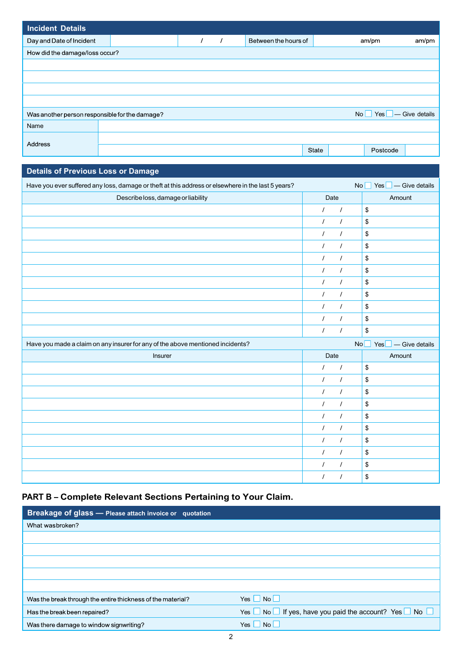| <b>Incident Details</b>                        |  |          |                      |                 |                         |       |
|------------------------------------------------|--|----------|----------------------|-----------------|-------------------------|-------|
| Day and Date of Incident                       |  | $\prime$ | Between the hours of |                 | am/pm                   | am/pm |
| How did the damage/loss occur?                 |  |          |                      |                 |                         |       |
|                                                |  |          |                      |                 |                         |       |
|                                                |  |          |                      |                 |                         |       |
|                                                |  |          |                      |                 |                         |       |
|                                                |  |          |                      |                 |                         |       |
| Was another person responsible for the damage? |  |          |                      | No <sub>1</sub> | $Yes \t - Give details$ |       |
| Name                                           |  |          |                      |                 |                         |       |
| Address                                        |  |          |                      |                 |                         |       |
|                                                |  |          |                      | <b>State</b>    | Postcode                |       |

| <b>Details of Previous Loss or Damage</b>                                                          |                      |                                 |
|----------------------------------------------------------------------------------------------------|----------------------|---------------------------------|
| Have you ever suffered any loss, damage or theft at this address or elsewhere in the last 5 years? |                      | $No$ Yes $\Box$ - Give details  |
| Describe loss, damage or liability                                                                 | Date                 | Amount                          |
|                                                                                                    | $\prime$<br>$\prime$ | \$                              |
|                                                                                                    | $\prime$<br>$\prime$ | \$                              |
|                                                                                                    | $\prime$<br>$\prime$ | \$                              |
|                                                                                                    | $\prime$<br>$\prime$ | \$                              |
|                                                                                                    | $\prime$<br>$\prime$ | \$                              |
|                                                                                                    | $\prime$<br>$\prime$ | \$                              |
|                                                                                                    | $\prime$<br>$\prime$ | \$                              |
|                                                                                                    | $\prime$<br>$\prime$ | \$                              |
|                                                                                                    | $\prime$<br>$\prime$ | \$                              |
|                                                                                                    | $\prime$<br>$\prime$ | \$                              |
|                                                                                                    | $\prime$<br>$\prime$ | \$                              |
| Have you made a claim on any insurer for any of the above mentioned incidents?                     |                      | No<br>$Yes \Box$ - Give details |
| Insurer                                                                                            | Date                 | Amount                          |
|                                                                                                    | $\prime$<br>$\prime$ | \$                              |
|                                                                                                    | $\prime$<br>$\prime$ | \$                              |
|                                                                                                    | $\prime$<br>$\prime$ | \$                              |
|                                                                                                    | $\prime$<br>$\prime$ | \$                              |
|                                                                                                    | $\prime$<br>$\prime$ | \$                              |
|                                                                                                    | $\prime$<br>$\prime$ | \$                              |
|                                                                                                    | $\prime$<br>$\prime$ | \$                              |
|                                                                                                    | $\prime$<br>$\prime$ | \$                              |
|                                                                                                    | $\prime$<br>$\prime$ | \$                              |
|                                                                                                    | $\prime$<br>$\prime$ | \$                              |

# **PART B – Complete Relevant Sections Pertaining to Your Claim.**

| <b>Breakage of glass - Please attach invoice or quotation</b> |                                                                              |
|---------------------------------------------------------------|------------------------------------------------------------------------------|
| What wasbroken?                                               |                                                                              |
|                                                               |                                                                              |
|                                                               |                                                                              |
|                                                               |                                                                              |
|                                                               |                                                                              |
|                                                               |                                                                              |
| Was the break through the entire thickness of the material?   | Yes $\Box$ No $\Box$                                                         |
| Has the break been repaired?                                  | Yes $\Box$ No $\Box$ If yes, have you paid the account? Yes $\Box$ No $\Box$ |
| Was there damage to window signwriting?                       | N <sub>O</sub><br>Yes.                                                       |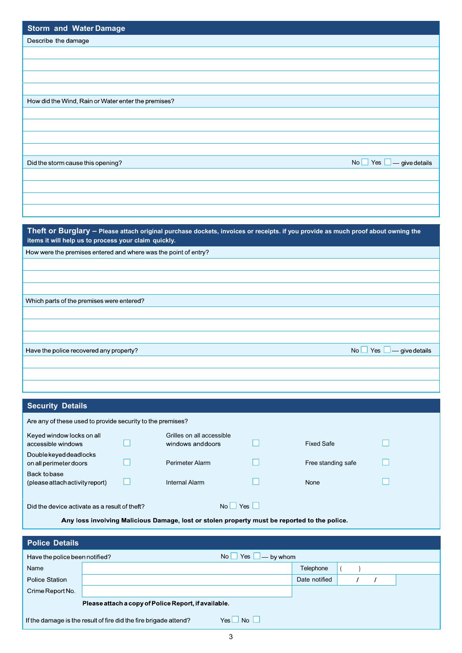| <b>Storm and Water Damage</b>                                                                                                                                                            |                                       |
|------------------------------------------------------------------------------------------------------------------------------------------------------------------------------------------|---------------------------------------|
| Describe the damage                                                                                                                                                                      |                                       |
|                                                                                                                                                                                          |                                       |
|                                                                                                                                                                                          |                                       |
|                                                                                                                                                                                          |                                       |
|                                                                                                                                                                                          |                                       |
| How did the Wind, Rain or Water enter the premises?                                                                                                                                      |                                       |
|                                                                                                                                                                                          |                                       |
|                                                                                                                                                                                          |                                       |
|                                                                                                                                                                                          |                                       |
|                                                                                                                                                                                          |                                       |
|                                                                                                                                                                                          |                                       |
| Did the storm cause this opening?                                                                                                                                                        | No $\Box$ Yes $\Box$ — give details   |
|                                                                                                                                                                                          |                                       |
|                                                                                                                                                                                          |                                       |
|                                                                                                                                                                                          |                                       |
|                                                                                                                                                                                          |                                       |
|                                                                                                                                                                                          |                                       |
| Theft or Burglary - Please attach original purchase dockets, invoices or receipts. if you provide as much proof about owning the<br>items it will help us to process your claim quickly. |                                       |
| How were the premises entered and where was the point of entry?                                                                                                                          |                                       |
|                                                                                                                                                                                          |                                       |
|                                                                                                                                                                                          |                                       |
|                                                                                                                                                                                          |                                       |
| Which parts of the premises were entered?                                                                                                                                                |                                       |
|                                                                                                                                                                                          |                                       |
|                                                                                                                                                                                          |                                       |
|                                                                                                                                                                                          |                                       |
|                                                                                                                                                                                          |                                       |
| $No \cup Yes$<br>Have the police recovered any property?                                                                                                                                 | $\overline{\phantom{a}}$ give details |
|                                                                                                                                                                                          |                                       |

## **Security Details**

| <b>Security Details</b>                                                 |                                                                                              |  |                                                      |  |                    |  |  |  |
|-------------------------------------------------------------------------|----------------------------------------------------------------------------------------------|--|------------------------------------------------------|--|--------------------|--|--|--|
| Are any of these used to provide security to the premises?              |                                                                                              |  |                                                      |  |                    |  |  |  |
| Keyed window locks on all<br>accessible windows                         |                                                                                              |  | Grilles on all accessible<br>windows and doors       |  | <b>Fixed Safe</b>  |  |  |  |
| Double keyed deadlocks<br>on all perimeter doors                        |                                                                                              |  | Perimeter Alarm                                      |  | Free standing safe |  |  |  |
| Back to base<br>(please attach activity report)                         |                                                                                              |  | <b>Internal Alarm</b>                                |  | None               |  |  |  |
| Yes<br>Did the device activate as a result of theft?<br>No <sub>1</sub> |                                                                                              |  |                                                      |  |                    |  |  |  |
|                                                                         | Any loss involving Malicious Damage, lost or stolen property must be reported to the police. |  |                                                      |  |                    |  |  |  |
| <b>Police Details</b>                                                   |                                                                                              |  |                                                      |  |                    |  |  |  |
|                                                                         | - by whom<br>Have the police been notified?<br>No l<br>Yes                                   |  |                                                      |  |                    |  |  |  |
| Name                                                                    |                                                                                              |  |                                                      |  | Telephone          |  |  |  |
| <b>Police Station</b>                                                   |                                                                                              |  |                                                      |  | Date notified      |  |  |  |
| Crime Report No.                                                        |                                                                                              |  |                                                      |  |                    |  |  |  |
|                                                                         |                                                                                              |  | Please attach a copy of Police Report, if available. |  |                    |  |  |  |

 $Yes \Box No \Box$ If the damage is the result of fire did the fire brigade attend?